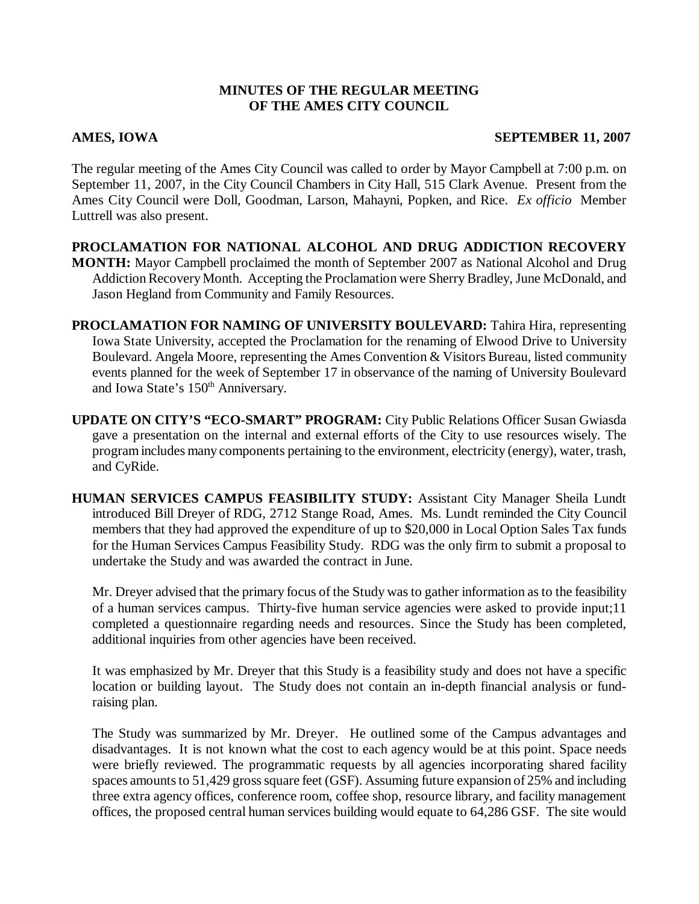### **MINUTES OF THE REGULAR MEETING OF THE AMES CITY COUNCIL**

### **AMES, IOWA SEPTEMBER 11, 2007**

The regular meeting of the Ames City Council was called to order by Mayor Campbell at 7:00 p.m. on September 11, 2007, in the City Council Chambers in City Hall, 515 Clark Avenue. Present from the Ames City Council were Doll, Goodman, Larson, Mahayni, Popken, and Rice. *Ex officio* Member Luttrell was also present.

**PROCLAMATION FOR NATIONAL ALCOHOL AND DRUG ADDICTION RECOVERY MONTH:** Mayor Campbell proclaimed the month of September 2007 as National Alcohol and Drug Addiction Recovery Month. Accepting the Proclamation were Sherry Bradley, June McDonald, and Jason Hegland from Community and Family Resources.

**PROCLAMATION FOR NAMING OF UNIVERSITY BOULEVARD:** Tahira Hira, representing Iowa State University, accepted the Proclamation for the renaming of Elwood Drive to University Boulevard. Angela Moore, representing the Ames Convention & Visitors Bureau, listed community events planned for the week of September 17 in observance of the naming of University Boulevard and Iowa State's 150<sup>th</sup> Anniversary.

**UPDATE ON CITY'S "ECO-SMART" PROGRAM:** City Public Relations Officer Susan Gwiasda gave a presentation on the internal and external efforts of the City to use resources wisely. The program includes many components pertaining to the environment, electricity (energy), water, trash, and CyRide.

**HUMAN SERVICES CAMPUS FEASIBILITY STUDY:** Assistant City Manager Sheila Lundt introduced Bill Dreyer of RDG, 2712 Stange Road, Ames. Ms. Lundt reminded the City Council members that they had approved the expenditure of up to \$20,000 in Local Option Sales Tax funds for the Human Services Campus Feasibility Study. RDG was the only firm to submit a proposal to undertake the Study and was awarded the contract in June.

Mr. Dreyer advised that the primary focus of the Study was to gather information as to the feasibility of a human services campus. Thirty-five human service agencies were asked to provide input;11 completed a questionnaire regarding needs and resources. Since the Study has been completed, additional inquiries from other agencies have been received.

It was emphasized by Mr. Dreyer that this Study is a feasibility study and does not have a specific location or building layout. The Study does not contain an in-depth financial analysis or fundraising plan.

The Study was summarized by Mr. Dreyer. He outlined some of the Campus advantages and disadvantages. It is not known what the cost to each agency would be at this point. Space needs were briefly reviewed. The programmatic requests by all agencies incorporating shared facility spaces amounts to 51,429 gross square feet (GSF). Assuming future expansion of 25% and including three extra agency offices, conference room, coffee shop, resource library, and facility management offices, the proposed central human services building would equate to 64,286 GSF. The site would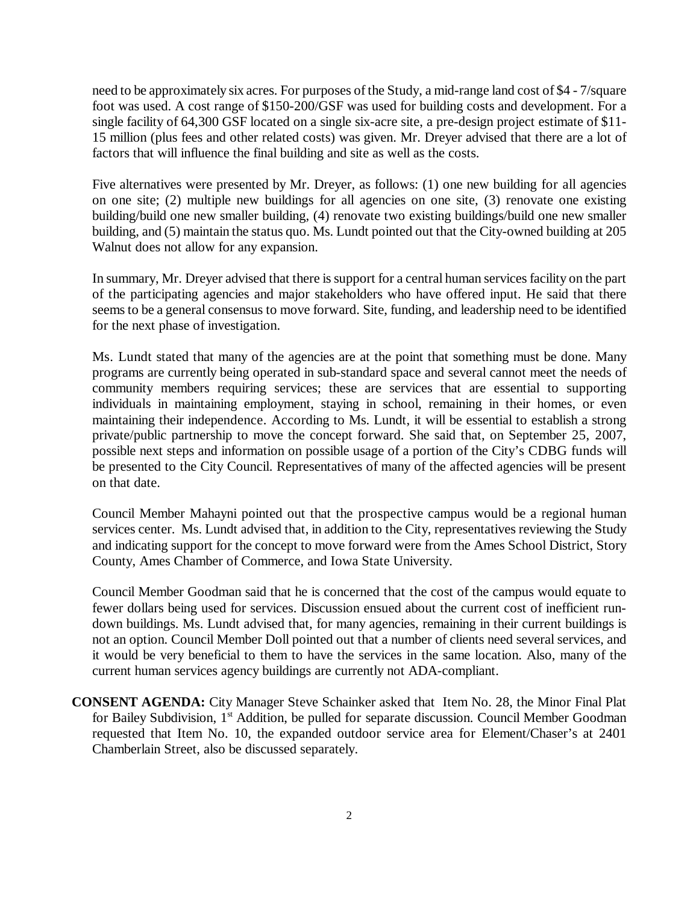need to be approximately six acres. For purposes of the Study, a mid-range land cost of \$4 - 7/square foot was used. A cost range of \$150-200/GSF was used for building costs and development. For a single facility of 64,300 GSF located on a single six-acre site, a pre-design project estimate of \$11- 15 million (plus fees and other related costs) was given. Mr. Dreyer advised that there are a lot of factors that will influence the final building and site as well as the costs.

Five alternatives were presented by Mr. Dreyer, as follows: (1) one new building for all agencies on one site; (2) multiple new buildings for all agencies on one site, (3) renovate one existing building/build one new smaller building, (4) renovate two existing buildings/build one new smaller building, and (5) maintain the status quo. Ms. Lundt pointed out that the City-owned building at 205 Walnut does not allow for any expansion.

In summary, Mr. Dreyer advised that there is support for a central human services facility on the part of the participating agencies and major stakeholders who have offered input. He said that there seems to be a general consensus to move forward. Site, funding, and leadership need to be identified for the next phase of investigation.

Ms. Lundt stated that many of the agencies are at the point that something must be done. Many programs are currently being operated in sub-standard space and several cannot meet the needs of community members requiring services; these are services that are essential to supporting individuals in maintaining employment, staying in school, remaining in their homes, or even maintaining their independence. According to Ms. Lundt, it will be essential to establish a strong private/public partnership to move the concept forward. She said that, on September 25, 2007, possible next steps and information on possible usage of a portion of the City's CDBG funds will be presented to the City Council. Representatives of many of the affected agencies will be present on that date.

Council Member Mahayni pointed out that the prospective campus would be a regional human services center. Ms. Lundt advised that, in addition to the City, representatives reviewing the Study and indicating support for the concept to move forward were from the Ames School District, Story County, Ames Chamber of Commerce, and Iowa State University.

Council Member Goodman said that he is concerned that the cost of the campus would equate to fewer dollars being used for services. Discussion ensued about the current cost of inefficient rundown buildings. Ms. Lundt advised that, for many agencies, remaining in their current buildings is not an option. Council Member Doll pointed out that a number of clients need several services, and it would be very beneficial to them to have the services in the same location. Also, many of the current human services agency buildings are currently not ADA-compliant.

**CONSENT AGENDA:** City Manager Steve Schainker asked that Item No. 28, the Minor Final Plat for Bailey Subdivision, 1<sup>st</sup> Addition, be pulled for separate discussion. Council Member Goodman requested that Item No. 10, the expanded outdoor service area for Element/Chaser's at 2401 Chamberlain Street, also be discussed separately.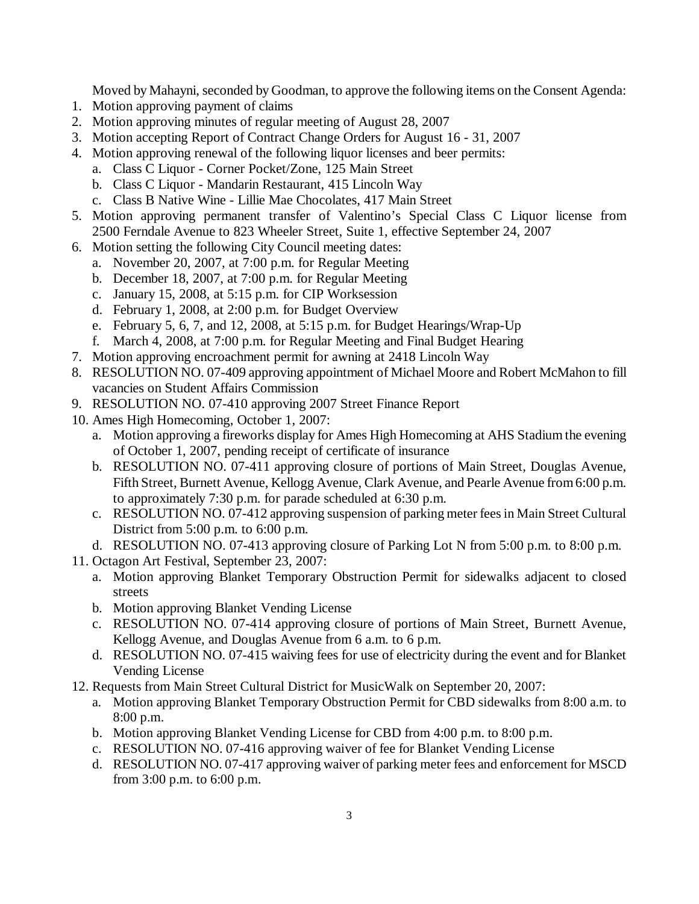Moved by Mahayni, seconded by Goodman, to approve the following items on the Consent Agenda:

- 1. Motion approving payment of claims
- 2. Motion approving minutes of regular meeting of August 28, 2007
- 3. Motion accepting Report of Contract Change Orders for August 16 31, 2007
- 4. Motion approving renewal of the following liquor licenses and beer permits:
	- a. Class C Liquor Corner Pocket/Zone, 125 Main Street
	- b. Class C Liquor Mandarin Restaurant, 415 Lincoln Way
	- c. Class B Native Wine Lillie Mae Chocolates, 417 Main Street
- 5. Motion approving permanent transfer of Valentino's Special Class C Liquor license from 2500 Ferndale Avenue to 823 Wheeler Street, Suite 1, effective September 24, 2007
- 6. Motion setting the following City Council meeting dates:
	- a. November 20, 2007, at 7:00 p.m. for Regular Meeting
	- b. December 18, 2007, at 7:00 p.m. for Regular Meeting
	- c. January 15, 2008, at 5:15 p.m. for CIP Worksession
	- d. February 1, 2008, at 2:00 p.m. for Budget Overview
	- e. February 5, 6, 7, and 12, 2008, at 5:15 p.m. for Budget Hearings/Wrap-Up
	- f. March 4, 2008, at 7:00 p.m. for Regular Meeting and Final Budget Hearing
- 7. Motion approving encroachment permit for awning at 2418 Lincoln Way
- 8. RESOLUTION NO. 07-409 approving appointment of Michael Moore and Robert McMahon to fill vacancies on Student Affairs Commission
- 9. RESOLUTION NO. 07-410 approving 2007 Street Finance Report
- 10. Ames High Homecoming, October 1, 2007:
	- a. Motion approving a fireworks display for Ames High Homecoming at AHS Stadium the evening of October 1, 2007, pending receipt of certificate of insurance
	- b. RESOLUTION NO. 07-411 approving closure of portions of Main Street, Douglas Avenue, Fifth Street, Burnett Avenue, Kellogg Avenue, Clark Avenue, and Pearle Avenue from6:00 p.m. to approximately 7:30 p.m. for parade scheduled at 6:30 p.m.
	- c. RESOLUTION NO. 07-412 approving suspension of parking meter fees in Main Street Cultural District from 5:00 p.m. to 6:00 p.m.
- d. RESOLUTION NO. 07-413 approving closure of Parking Lot N from 5:00 p.m. to 8:00 p.m.
- 11. Octagon Art Festival, September 23, 2007:
	- a. Motion approving Blanket Temporary Obstruction Permit for sidewalks adjacent to closed streets
	- b. Motion approving Blanket Vending License
	- c. RESOLUTION NO. 07-414 approving closure of portions of Main Street, Burnett Avenue, Kellogg Avenue, and Douglas Avenue from 6 a.m. to 6 p.m.
	- d. RESOLUTION NO. 07-415 waiving fees for use of electricity during the event and for Blanket Vending License
- 12. Requests from Main Street Cultural District for MusicWalk on September 20, 2007:
	- a. Motion approving Blanket Temporary Obstruction Permit for CBD sidewalks from 8:00 a.m. to 8:00 p.m.
	- b. Motion approving Blanket Vending License for CBD from 4:00 p.m. to 8:00 p.m.
	- c. RESOLUTION NO. 07-416 approving waiver of fee for Blanket Vending License
	- d. RESOLUTION NO. 07-417 approving waiver of parking meter fees and enforcement for MSCD from 3:00 p.m. to 6:00 p.m.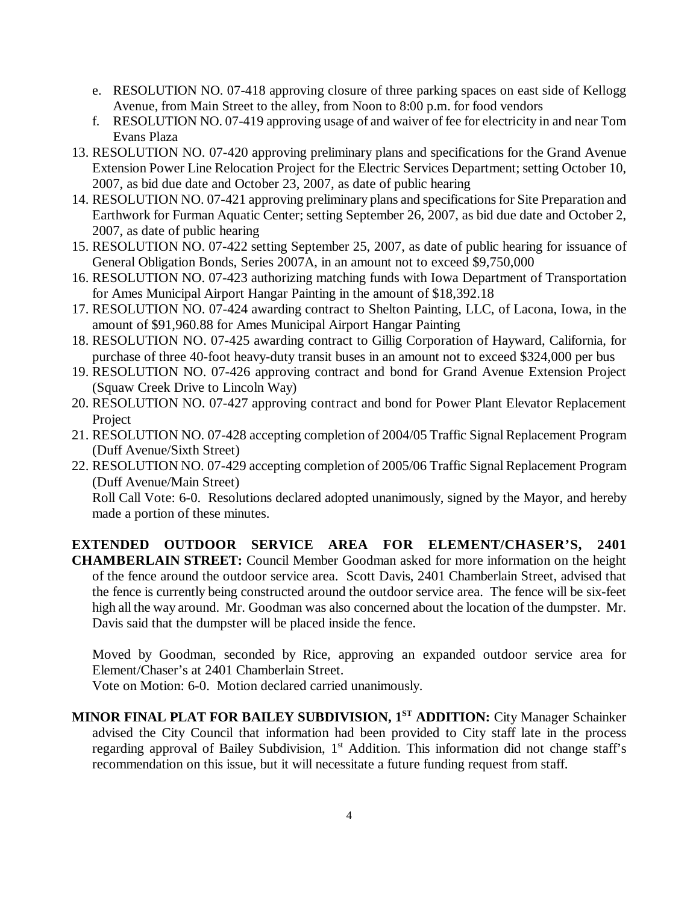- e. RESOLUTION NO. 07-418 approving closure of three parking spaces on east side of Kellogg Avenue, from Main Street to the alley, from Noon to 8:00 p.m. for food vendors
- f. RESOLUTION NO. 07-419 approving usage of and waiver of fee for electricity in and near Tom Evans Plaza
- 13. RESOLUTION NO. 07-420 approving preliminary plans and specifications for the Grand Avenue Extension Power Line Relocation Project for the Electric Services Department; setting October 10, 2007, as bid due date and October 23, 2007, as date of public hearing
- 14. RESOLUTION NO. 07-421 approving preliminary plans and specifications for Site Preparation and Earthwork for Furman Aquatic Center; setting September 26, 2007, as bid due date and October 2, 2007, as date of public hearing
- 15. RESOLUTION NO. 07-422 setting September 25, 2007, as date of public hearing for issuance of General Obligation Bonds, Series 2007A, in an amount not to exceed \$9,750,000
- 16. RESOLUTION NO. 07-423 authorizing matching funds with Iowa Department of Transportation for Ames Municipal Airport Hangar Painting in the amount of \$18,392.18
- 17. RESOLUTION NO. 07-424 awarding contract to Shelton Painting, LLC, of Lacona, Iowa, in the amount of \$91,960.88 for Ames Municipal Airport Hangar Painting
- 18. RESOLUTION NO. 07-425 awarding contract to Gillig Corporation of Hayward, California, for purchase of three 40-foot heavy-duty transit buses in an amount not to exceed \$324,000 per bus
- 19. RESOLUTION NO. 07-426 approving contract and bond for Grand Avenue Extension Project (Squaw Creek Drive to Lincoln Way)
- 20. RESOLUTION NO. 07-427 approving contract and bond for Power Plant Elevator Replacement Project
- 21. RESOLUTION NO. 07-428 accepting completion of 2004/05 Traffic Signal Replacement Program (Duff Avenue/Sixth Street)
- 22. RESOLUTION NO. 07-429 accepting completion of 2005/06 Traffic Signal Replacement Program (Duff Avenue/Main Street)

Roll Call Vote: 6-0. Resolutions declared adopted unanimously, signed by the Mayor, and hereby made a portion of these minutes.

**EXTENDED OUTDOOR SERVICE AREA FOR ELEMENT/CHASER'S, 2401 CHAMBERLAIN STREET:** Council Member Goodman asked for more information on the height of the fence around the outdoor service area. Scott Davis, 2401 Chamberlain Street, advised that the fence is currently being constructed around the outdoor service area. The fence will be six-feet high all the way around. Mr. Goodman was also concerned about the location of the dumpster. Mr. Davis said that the dumpster will be placed inside the fence.

Moved by Goodman, seconded by Rice, approving an expanded outdoor service area for Element/Chaser's at 2401 Chamberlain Street.

Vote on Motion: 6-0. Motion declared carried unanimously.

**MINOR FINAL PLAT FOR BAILEY SUBDIVISION, 1ST ADDITION:** City Manager Schainker advised the City Council that information had been provided to City staff late in the process regarding approval of Bailey Subdivision, 1<sup>st</sup> Addition. This information did not change staff's recommendation on this issue, but it will necessitate a future funding request from staff.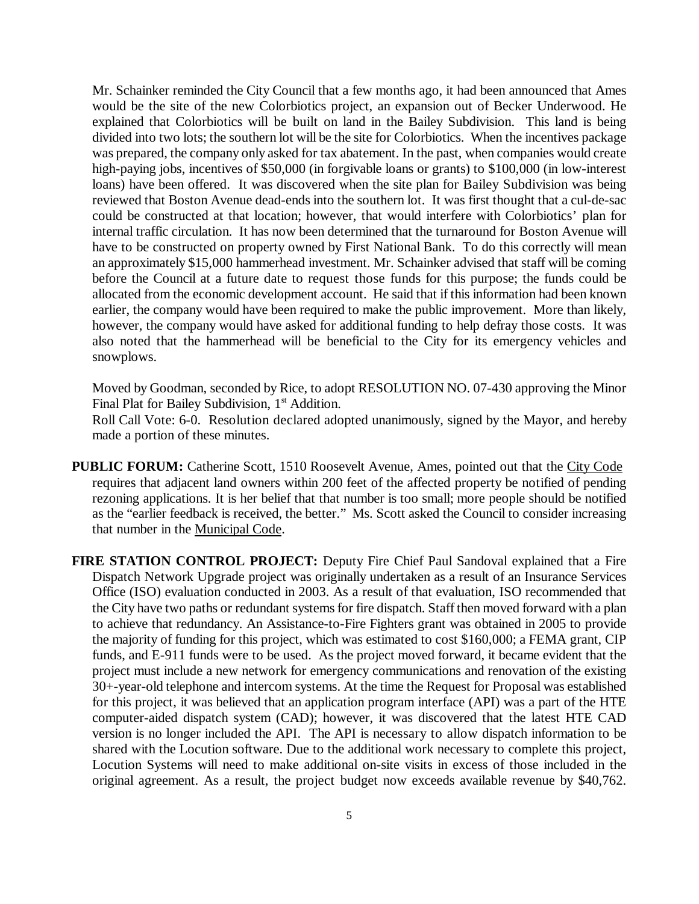Mr. Schainker reminded the City Council that a few months ago, it had been announced that Ames would be the site of the new Colorbiotics project, an expansion out of Becker Underwood. He explained that Colorbiotics will be built on land in the Bailey Subdivision. This land is being divided into two lots; the southern lot will be the site for Colorbiotics. When the incentives package was prepared, the company only asked for tax abatement. In the past, when companies would create high-paying jobs, incentives of \$50,000 (in forgivable loans or grants) to \$100,000 (in low-interest loans) have been offered. It was discovered when the site plan for Bailey Subdivision was being reviewed that Boston Avenue dead-ends into the southern lot. It was first thought that a cul-de-sac could be constructed at that location; however, that would interfere with Colorbiotics' plan for internal traffic circulation. It has now been determined that the turnaround for Boston Avenue will have to be constructed on property owned by First National Bank. To do this correctly will mean an approximately \$15,000 hammerhead investment. Mr. Schainker advised that staff will be coming before the Council at a future date to request those funds for this purpose; the funds could be allocated from the economic development account. He said that if this information had been known earlier, the company would have been required to make the public improvement. More than likely, however, the company would have asked for additional funding to help defray those costs. It was also noted that the hammerhead will be beneficial to the City for its emergency vehicles and snowplows.

Moved by Goodman, seconded by Rice, to adopt RESOLUTION NO. 07-430 approving the Minor Final Plat for Bailey Subdivision, 1<sup>st</sup> Addition.

Roll Call Vote: 6-0. Resolution declared adopted unanimously, signed by the Mayor, and hereby made a portion of these minutes.

- **PUBLIC FORUM:** Catherine Scott, 1510 Roosevelt Avenue, Ames, pointed out that the City Code requires that adjacent land owners within 200 feet of the affected property be notified of pending rezoning applications. It is her belief that that number is too small; more people should be notified as the "earlier feedback is received, the better." Ms. Scott asked the Council to consider increasing that number in the Municipal Code.
- **FIRE STATION CONTROL PROJECT:** Deputy Fire Chief Paul Sandoval explained that a Fire Dispatch Network Upgrade project was originally undertaken as a result of an Insurance Services Office (ISO) evaluation conducted in 2003. As a result of that evaluation, ISO recommended that the City have two paths or redundant systems for fire dispatch. Staff then moved forward with a plan to achieve that redundancy. An Assistance-to-Fire Fighters grant was obtained in 2005 to provide the majority of funding for this project, which was estimated to cost \$160,000; a FEMA grant, CIP funds, and E-911 funds were to be used. As the project moved forward, it became evident that the project must include a new network for emergency communications and renovation of the existing 30+-year-old telephone and intercom systems. At the time the Request for Proposal was established for this project, it was believed that an application program interface (API) was a part of the HTE computer-aided dispatch system (CAD); however, it was discovered that the latest HTE CAD version is no longer included the API. The API is necessary to allow dispatch information to be shared with the Locution software. Due to the additional work necessary to complete this project, Locution Systems will need to make additional on-site visits in excess of those included in the original agreement. As a result, the project budget now exceeds available revenue by \$40,762.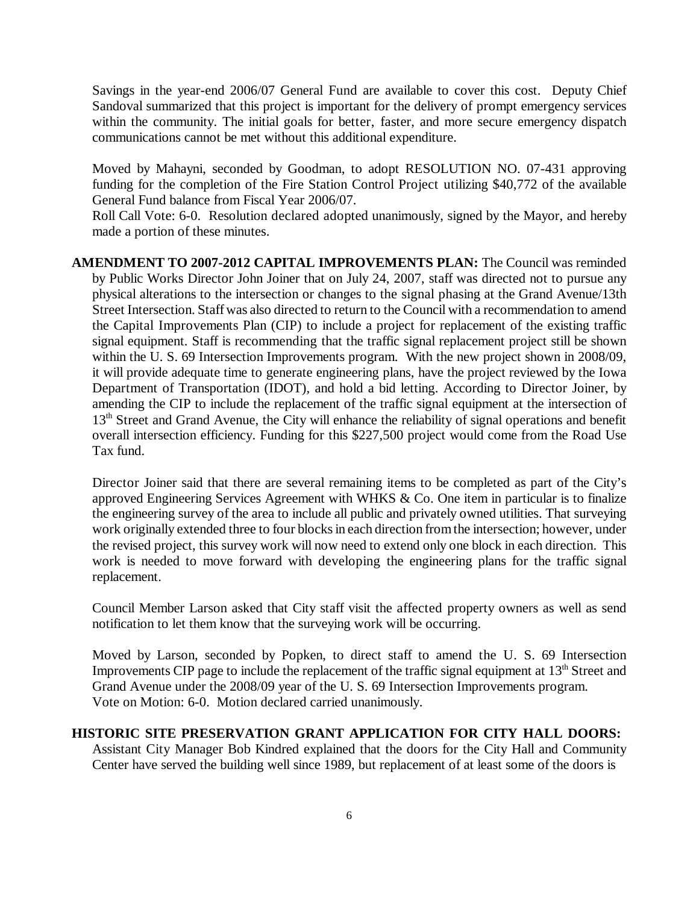Savings in the year-end 2006/07 General Fund are available to cover this cost. Deputy Chief Sandoval summarized that this project is important for the delivery of prompt emergency services within the community. The initial goals for better, faster, and more secure emergency dispatch communications cannot be met without this additional expenditure.

Moved by Mahayni, seconded by Goodman, to adopt RESOLUTION NO. 07-431 approving funding for the completion of the Fire Station Control Project utilizing \$40,772 of the available General Fund balance from Fiscal Year 2006/07.

Roll Call Vote: 6-0. Resolution declared adopted unanimously, signed by the Mayor, and hereby made a portion of these minutes.

**AMENDMENT TO 2007-2012 CAPITAL IMPROVEMENTS PLAN:** The Council was reminded by Public Works Director John Joiner that on July 24, 2007, staff was directed not to pursue any physical alterations to the intersection or changes to the signal phasing at the Grand Avenue/13th Street Intersection. Staff was also directed to return to the Council with a recommendation to amend the Capital Improvements Plan (CIP) to include a project for replacement of the existing traffic signal equipment. Staff is recommending that the traffic signal replacement project still be shown within the U. S. 69 Intersection Improvements program. With the new project shown in 2008/09, it will provide adequate time to generate engineering plans, have the project reviewed by the Iowa Department of Transportation (IDOT), and hold a bid letting. According to Director Joiner, by amending the CIP to include the replacement of the traffic signal equipment at the intersection of 13<sup>th</sup> Street and Grand Avenue, the City will enhance the reliability of signal operations and benefit overall intersection efficiency. Funding for this \$227,500 project would come from the Road Use Tax fund.

Director Joiner said that there are several remaining items to be completed as part of the City's approved Engineering Services Agreement with WHKS & Co. One item in particular is to finalize the engineering survey of the area to include all public and privately owned utilities. That surveying work originally extended three to four blocks in each direction from the intersection; however, under the revised project, this survey work will now need to extend only one block in each direction. This work is needed to move forward with developing the engineering plans for the traffic signal replacement.

Council Member Larson asked that City staff visit the affected property owners as well as send notification to let them know that the surveying work will be occurring.

Moved by Larson, seconded by Popken, to direct staff to amend the U. S. 69 Intersection Improvements CIP page to include the replacement of the traffic signal equipment at  $13<sup>th</sup>$  Street and Grand Avenue under the 2008/09 year of the U. S. 69 Intersection Improvements program. Vote on Motion: 6-0. Motion declared carried unanimously.

# **HISTORIC SITE PRESERVATION GRANT APPLICATION FOR CITY HALL DOORS:**

Assistant City Manager Bob Kindred explained that the doors for the City Hall and Community Center have served the building well since 1989, but replacement of at least some of the doors is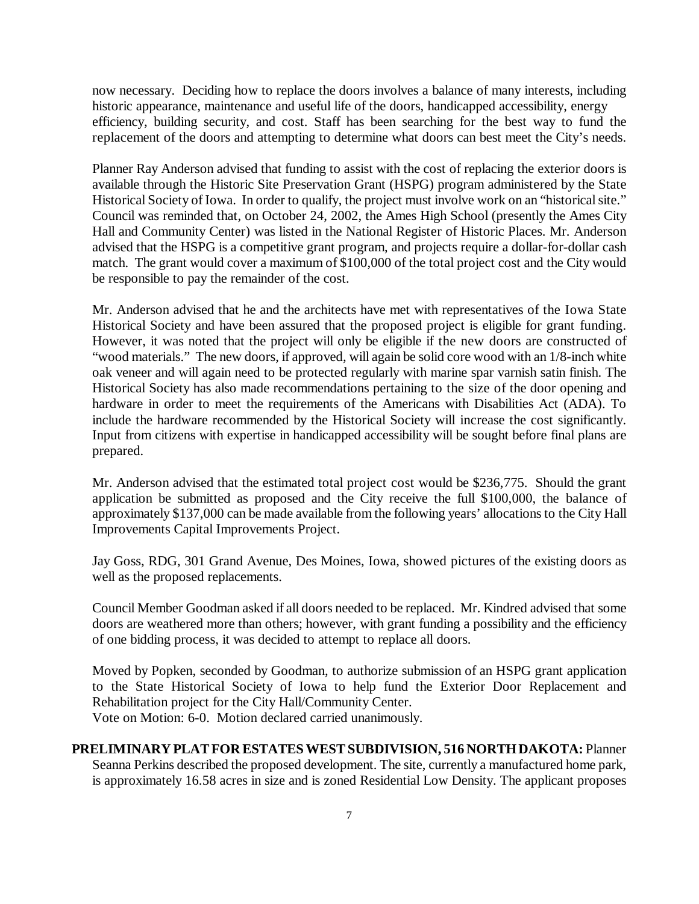now necessary. Deciding how to replace the doors involves a balance of many interests, including historic appearance, maintenance and useful life of the doors, handicapped accessibility, energy efficiency, building security, and cost. Staff has been searching for the best way to fund the replacement of the doors and attempting to determine what doors can best meet the City's needs.

Planner Ray Anderson advised that funding to assist with the cost of replacing the exterior doors is available through the Historic Site Preservation Grant (HSPG) program administered by the State Historical Society of Iowa. In order to qualify, the project must involve work on an "historical site." Council was reminded that, on October 24, 2002, the Ames High School (presently the Ames City Hall and Community Center) was listed in the National Register of Historic Places. Mr. Anderson advised that the HSPG is a competitive grant program, and projects require a dollar-for-dollar cash match. The grant would cover a maximum of \$100,000 of the total project cost and the City would be responsible to pay the remainder of the cost.

Mr. Anderson advised that he and the architects have met with representatives of the Iowa State Historical Society and have been assured that the proposed project is eligible for grant funding. However, it was noted that the project will only be eligible if the new doors are constructed of "wood materials." The new doors, if approved, will again be solid core wood with an 1/8-inch white oak veneer and will again need to be protected regularly with marine spar varnish satin finish. The Historical Society has also made recommendations pertaining to the size of the door opening and hardware in order to meet the requirements of the Americans with Disabilities Act (ADA). To include the hardware recommended by the Historical Society will increase the cost significantly. Input from citizens with expertise in handicapped accessibility will be sought before final plans are prepared.

Mr. Anderson advised that the estimated total project cost would be \$236,775. Should the grant application be submitted as proposed and the City receive the full \$100,000, the balance of approximately \$137,000 can be made available from the following years' allocations to the City Hall Improvements Capital Improvements Project.

Jay Goss, RDG, 301 Grand Avenue, Des Moines, Iowa, showed pictures of the existing doors as well as the proposed replacements.

Council Member Goodman asked if all doors needed to be replaced. Mr. Kindred advised that some doors are weathered more than others; however, with grant funding a possibility and the efficiency of one bidding process, it was decided to attempt to replace all doors.

Moved by Popken, seconded by Goodman, to authorize submission of an HSPG grant application to the State Historical Society of Iowa to help fund the Exterior Door Replacement and Rehabilitation project for the City Hall/Community Center. Vote on Motion: 6-0. Motion declared carried unanimously.

## **PRELIMINARY PLAT FOR ESTATES WEST SUBDIVISION, 516 NORTH DAKOTA:** Planner Seanna Perkins described the proposed development. The site, currently a manufactured home park, is approximately 16.58 acres in size and is zoned Residential Low Density. The applicant proposes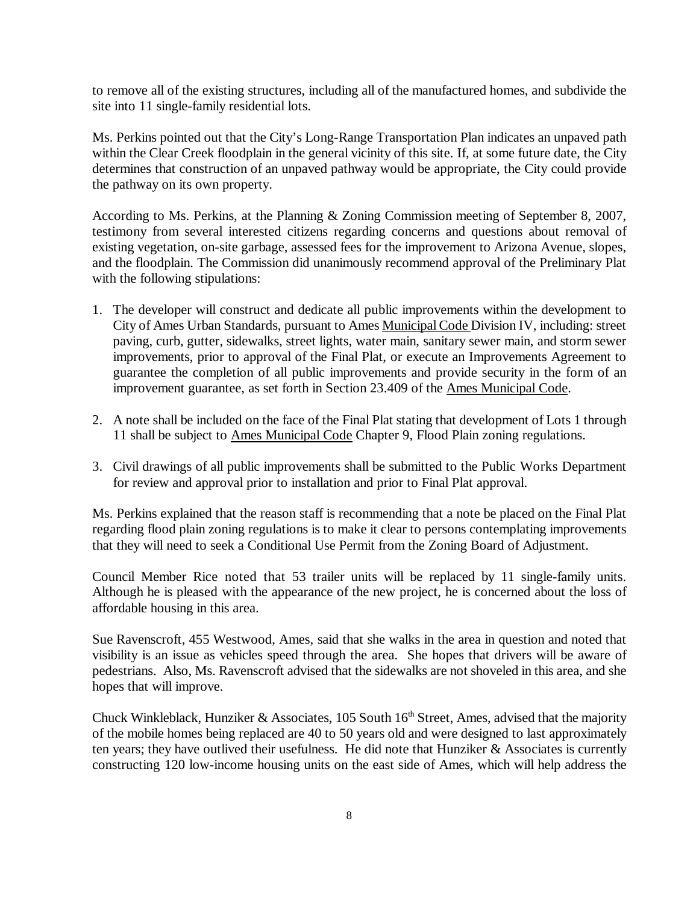to remove all of the existing structures, including all of the manufactured homes, and subdivide the site into 11 single-family residential lots.

Ms. Perkins pointed out that the City's Long-Range Transportation Plan indicates an unpaved path within the Clear Creek floodplain in the general vicinity of this site. If, at some future date, the City determines that construction of an unpaved pathway would be appropriate, the City could provide the pathway on its own property.

According to Ms. Perkins, at the Planning & Zoning Commission meeting of September 8, 2007, testimony from several interested citizens regarding concerns and questions about removal of existing vegetation, on-site garbage, assessed fees for the improvement to Arizona Avenue, slopes, and the floodplain. The Commission did unanimously recommend approval of the Preliminary Plat with the following stipulations:

- 1. The developer will construct and dedicate all public improvements within the development to City of Ames Urban Standards, pursuant to Ames Municipal Code Division IV, including: street paving, curb, gutter, sidewalks, street lights, water main, sanitary sewer main, and storm sewer improvements, prior to approval of the Final Plat, or execute an Improvements Agreement to guarantee the completion of all public improvements and provide security in the form of an improvement guarantee, as set forth in Section 23.409 of the Ames Municipal Code.
- 2. A note shall be included on the face of the Final Plat stating that development of Lots 1 through 11 shall be subject to Ames Municipal Code Chapter 9, Flood Plain zoning regulations.
- 3. Civil drawings of all public improvements shall be submitted to the Public Works Department for review and approval prior to installation and prior to Final Plat approval.

Ms. Perkins explained that the reason staff is recommending that a note be placed on the Final Plat regarding flood plain zoning regulations is to make it clear to persons contemplating improvements that they will need to seek a Conditional Use Permit from the Zoning Board of Adjustment.

Council Member Rice noted that 53 trailer units will be replaced by 11 single-family units. Although he is pleased with the appearance of the new project, he is concerned about the loss of affordable housing in this area.

Sue Ravenscroft, 455 Westwood, Ames, said that she walks in the area in question and noted that visibility is an issue as vehicles speed through the area. She hopes that drivers will be aware of pedestrians. Also, Ms. Ravenscroft advised that the sidewalks are not shoveled in this area, and she hopes that will improve.

Chuck Winkleblack, Hunziker & Associates, 105 South  $16<sup>th</sup>$  Street, Ames, advised that the majority of the mobile homes being replaced are 40 to 50 years old and were designed to last approximately ten years; they have outlived their usefulness. He did note that Hunziker  $\&$  Associates is currently constructing 120 low-income housing units on the east side of Ames, which will help address the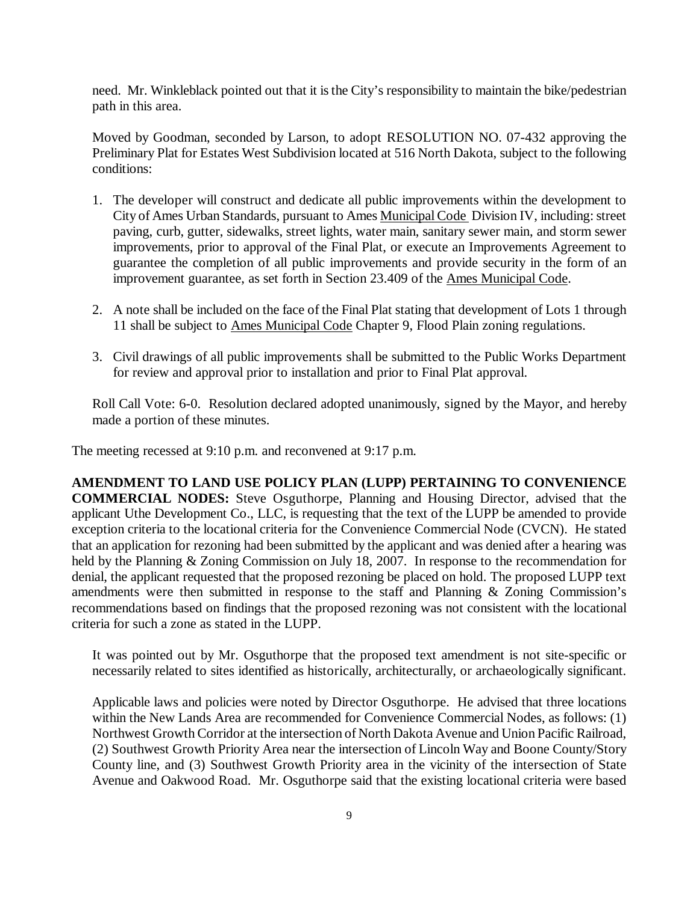need. Mr. Winkleblack pointed out that it is the City's responsibility to maintain the bike/pedestrian path in this area.

Moved by Goodman, seconded by Larson, to adopt RESOLUTION NO. 07-432 approving the Preliminary Plat for Estates West Subdivision located at 516 North Dakota, subject to the following conditions:

- 1. The developer will construct and dedicate all public improvements within the development to City of Ames Urban Standards, pursuant to Ames Municipal Code Division IV, including: street paving, curb, gutter, sidewalks, street lights, water main, sanitary sewer main, and storm sewer improvements, prior to approval of the Final Plat, or execute an Improvements Agreement to guarantee the completion of all public improvements and provide security in the form of an improvement guarantee, as set forth in Section 23.409 of the Ames Municipal Code.
- 2. A note shall be included on the face of the Final Plat stating that development of Lots 1 through 11 shall be subject to Ames Municipal Code Chapter 9, Flood Plain zoning regulations.
- 3. Civil drawings of all public improvements shall be submitted to the Public Works Department for review and approval prior to installation and prior to Final Plat approval.

Roll Call Vote: 6-0. Resolution declared adopted unanimously, signed by the Mayor, and hereby made a portion of these minutes.

The meeting recessed at 9:10 p.m. and reconvened at 9:17 p.m.

**AMENDMENT TO LAND USE POLICY PLAN (LUPP) PERTAINING TO CONVENIENCE COMMERCIAL NODES:** Steve Osguthorpe, Planning and Housing Director, advised that the applicant Uthe Development Co., LLC, is requesting that the text of the LUPP be amended to provide exception criteria to the locational criteria for the Convenience Commercial Node (CVCN). He stated that an application for rezoning had been submitted by the applicant and was denied after a hearing was held by the Planning & Zoning Commission on July 18, 2007. In response to the recommendation for denial, the applicant requested that the proposed rezoning be placed on hold. The proposed LUPP text amendments were then submitted in response to the staff and Planning & Zoning Commission's recommendations based on findings that the proposed rezoning was not consistent with the locational criteria for such a zone as stated in the LUPP.

It was pointed out by Mr. Osguthorpe that the proposed text amendment is not site-specific or necessarily related to sites identified as historically, architecturally, or archaeologically significant.

Applicable laws and policies were noted by Director Osguthorpe. He advised that three locations within the New Lands Area are recommended for Convenience Commercial Nodes, as follows: (1) Northwest Growth Corridor at the intersection of North Dakota Avenue and Union Pacific Railroad, (2) Southwest Growth Priority Area near the intersection of Lincoln Way and Boone County/Story County line, and (3) Southwest Growth Priority area in the vicinity of the intersection of State Avenue and Oakwood Road. Mr. Osguthorpe said that the existing locational criteria were based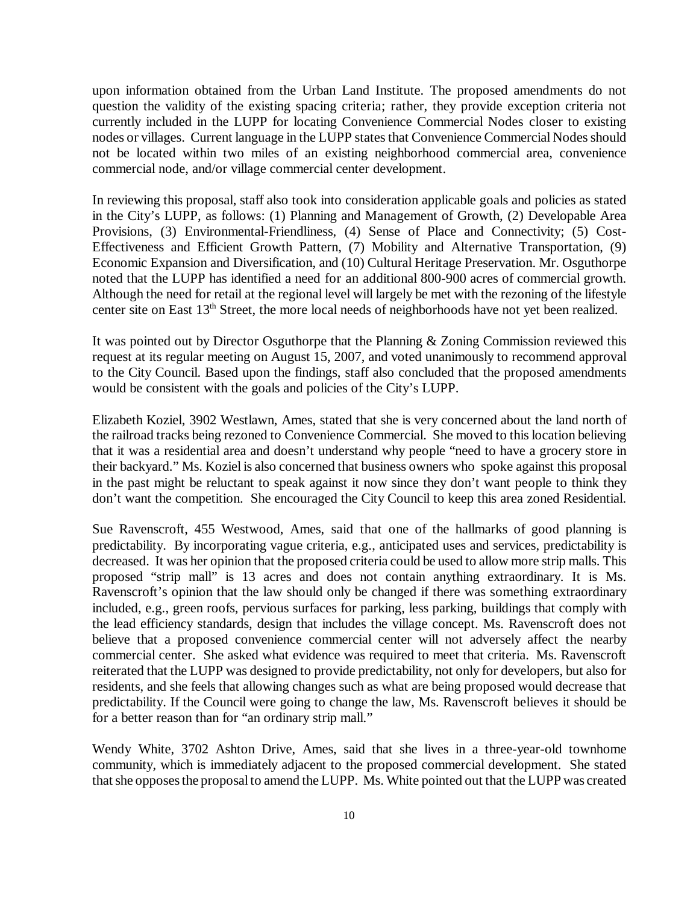upon information obtained from the Urban Land Institute. The proposed amendments do not question the validity of the existing spacing criteria; rather, they provide exception criteria not currently included in the LUPP for locating Convenience Commercial Nodes closer to existing nodes or villages. Current language in the LUPP states that Convenience Commercial Nodes should not be located within two miles of an existing neighborhood commercial area, convenience commercial node, and/or village commercial center development.

In reviewing this proposal, staff also took into consideration applicable goals and policies as stated in the City's LUPP, as follows: (1) Planning and Management of Growth, (2) Developable Area Provisions, (3) Environmental-Friendliness, (4) Sense of Place and Connectivity; (5) Cost-Effectiveness and Efficient Growth Pattern, (7) Mobility and Alternative Transportation, (9) Economic Expansion and Diversification, and (10) Cultural Heritage Preservation. Mr. Osguthorpe noted that the LUPP has identified a need for an additional 800-900 acres of commercial growth. Although the need for retail at the regional level will largely be met with the rezoning of the lifestyle center site on East 13<sup>th</sup> Street, the more local needs of neighborhoods have not yet been realized.

It was pointed out by Director Osguthorpe that the Planning & Zoning Commission reviewed this request at its regular meeting on August 15, 2007, and voted unanimously to recommend approval to the City Council. Based upon the findings, staff also concluded that the proposed amendments would be consistent with the goals and policies of the City's LUPP.

Elizabeth Koziel, 3902 Westlawn, Ames, stated that she is very concerned about the land north of the railroad tracks being rezoned to Convenience Commercial. She moved to this location believing that it was a residential area and doesn't understand why people "need to have a grocery store in their backyard." Ms. Koziel is also concerned that business owners who spoke against this proposal in the past might be reluctant to speak against it now since they don't want people to think they don't want the competition. She encouraged the City Council to keep this area zoned Residential.

Sue Ravenscroft, 455 Westwood, Ames, said that one of the hallmarks of good planning is predictability. By incorporating vague criteria, e.g., anticipated uses and services, predictability is decreased. It was her opinion that the proposed criteria could be used to allow more strip malls. This proposed "strip mall" is 13 acres and does not contain anything extraordinary. It is Ms. Ravenscroft's opinion that the law should only be changed if there was something extraordinary included, e.g., green roofs, pervious surfaces for parking, less parking, buildings that comply with the lead efficiency standards, design that includes the village concept. Ms. Ravenscroft does not believe that a proposed convenience commercial center will not adversely affect the nearby commercial center. She asked what evidence was required to meet that criteria. Ms. Ravenscroft reiterated that the LUPP was designed to provide predictability, not only for developers, but also for residents, and she feels that allowing changes such as what are being proposed would decrease that predictability. If the Council were going to change the law, Ms. Ravenscroft believes it should be for a better reason than for "an ordinary strip mall."

Wendy White, 3702 Ashton Drive, Ames, said that she lives in a three-year-old townhome community, which is immediately adjacent to the proposed commercial development. She stated that she opposes the proposal to amend the LUPP. Ms. White pointed out that the LUPP was created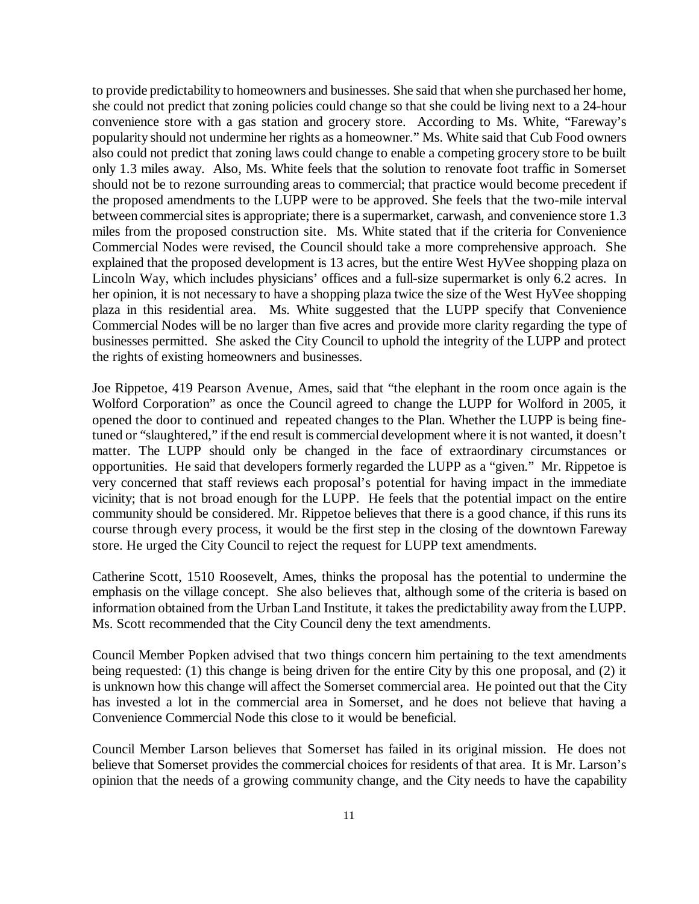to provide predictability to homeowners and businesses. She said that when she purchased her home, she could not predict that zoning policies could change so that she could be living next to a 24-hour convenience store with a gas station and grocery store. According to Ms. White, "Fareway's popularity should not undermine her rights as a homeowner." Ms. White said that Cub Food owners also could not predict that zoning laws could change to enable a competing grocery store to be built only 1.3 miles away. Also, Ms. White feels that the solution to renovate foot traffic in Somerset should not be to rezone surrounding areas to commercial; that practice would become precedent if the proposed amendments to the LUPP were to be approved. She feels that the two-mile interval between commercial sites is appropriate; there is a supermarket, carwash, and convenience store 1.3 miles from the proposed construction site. Ms. White stated that if the criteria for Convenience Commercial Nodes were revised, the Council should take a more comprehensive approach. She explained that the proposed development is 13 acres, but the entire West HyVee shopping plaza on Lincoln Way, which includes physicians' offices and a full-size supermarket is only 6.2 acres. In her opinion, it is not necessary to have a shopping plaza twice the size of the West HyVee shopping plaza in this residential area. Ms. White suggested that the LUPP specify that Convenience Commercial Nodes will be no larger than five acres and provide more clarity regarding the type of businesses permitted. She asked the City Council to uphold the integrity of the LUPP and protect the rights of existing homeowners and businesses.

Joe Rippetoe, 419 Pearson Avenue, Ames, said that "the elephant in the room once again is the Wolford Corporation" as once the Council agreed to change the LUPP for Wolford in 2005, it opened the door to continued and repeated changes to the Plan. Whether the LUPP is being finetuned or "slaughtered," if the end result is commercial development where it is not wanted, it doesn't matter. The LUPP should only be changed in the face of extraordinary circumstances or opportunities. He said that developers formerly regarded the LUPP as a "given." Mr. Rippetoe is very concerned that staff reviews each proposal's potential for having impact in the immediate vicinity; that is not broad enough for the LUPP. He feels that the potential impact on the entire community should be considered. Mr. Rippetoe believes that there is a good chance, if this runs its course through every process, it would be the first step in the closing of the downtown Fareway store. He urged the City Council to reject the request for LUPP text amendments.

Catherine Scott, 1510 Roosevelt, Ames, thinks the proposal has the potential to undermine the emphasis on the village concept. She also believes that, although some of the criteria is based on information obtained from the Urban Land Institute, it takes the predictability away from the LUPP. Ms. Scott recommended that the City Council deny the text amendments.

Council Member Popken advised that two things concern him pertaining to the text amendments being requested: (1) this change is being driven for the entire City by this one proposal, and (2) it is unknown how this change will affect the Somerset commercial area. He pointed out that the City has invested a lot in the commercial area in Somerset, and he does not believe that having a Convenience Commercial Node this close to it would be beneficial.

Council Member Larson believes that Somerset has failed in its original mission. He does not believe that Somerset provides the commercial choices for residents of that area. It is Mr. Larson's opinion that the needs of a growing community change, and the City needs to have the capability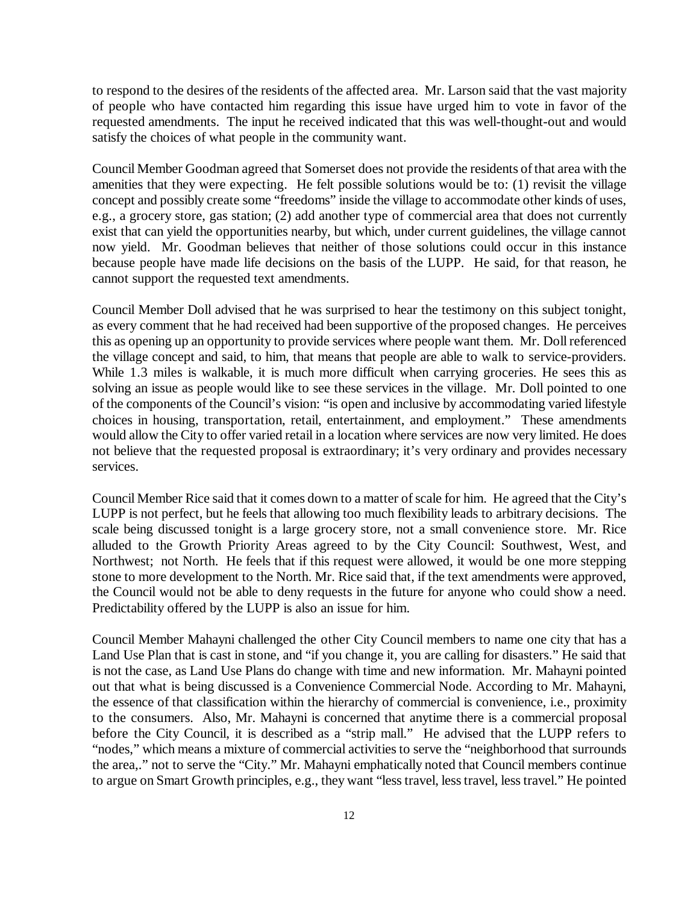to respond to the desires of the residents of the affected area. Mr. Larson said that the vast majority of people who have contacted him regarding this issue have urged him to vote in favor of the requested amendments. The input he received indicated that this was well-thought-out and would satisfy the choices of what people in the community want.

Council Member Goodman agreed that Somerset does not provide the residents of that area with the amenities that they were expecting. He felt possible solutions would be to: (1) revisit the village concept and possibly create some "freedoms" inside the village to accommodate other kinds of uses, e.g., a grocery store, gas station; (2) add another type of commercial area that does not currently exist that can yield the opportunities nearby, but which, under current guidelines, the village cannot now yield. Mr. Goodman believes that neither of those solutions could occur in this instance because people have made life decisions on the basis of the LUPP. He said, for that reason, he cannot support the requested text amendments.

Council Member Doll advised that he was surprised to hear the testimony on this subject tonight, as every comment that he had received had been supportive of the proposed changes. He perceives this as opening up an opportunity to provide services where people want them. Mr. Doll referenced the village concept and said, to him, that means that people are able to walk to service-providers. While 1.3 miles is walkable, it is much more difficult when carrying groceries. He sees this as solving an issue as people would like to see these services in the village. Mr. Doll pointed to one of the components of the Council's vision: "is open and inclusive by accommodating varied lifestyle choices in housing, transportation, retail, entertainment, and employment." These amendments would allow the City to offer varied retail in a location where services are now very limited. He does not believe that the requested proposal is extraordinary; it's very ordinary and provides necessary services.

Council Member Rice said that it comes down to a matter of scale for him. He agreed that the City's LUPP is not perfect, but he feels that allowing too much flexibility leads to arbitrary decisions. The scale being discussed tonight is a large grocery store, not a small convenience store. Mr. Rice alluded to the Growth Priority Areas agreed to by the City Council: Southwest, West, and Northwest; not North. He feels that if this request were allowed, it would be one more stepping stone to more development to the North. Mr. Rice said that, if the text amendments were approved, the Council would not be able to deny requests in the future for anyone who could show a need. Predictability offered by the LUPP is also an issue for him.

Council Member Mahayni challenged the other City Council members to name one city that has a Land Use Plan that is cast in stone, and "if you change it, you are calling for disasters." He said that is not the case, as Land Use Plans do change with time and new information. Mr. Mahayni pointed out that what is being discussed is a Convenience Commercial Node. According to Mr. Mahayni, the essence of that classification within the hierarchy of commercial is convenience, i.e., proximity to the consumers. Also, Mr. Mahayni is concerned that anytime there is a commercial proposal before the City Council, it is described as a "strip mall." He advised that the LUPP refers to "nodes," which means a mixture of commercial activities to serve the "neighborhood that surrounds the area,." not to serve the "City." Mr. Mahayni emphatically noted that Council members continue to argue on Smart Growth principles, e.g., they want "less travel, less travel, less travel." He pointed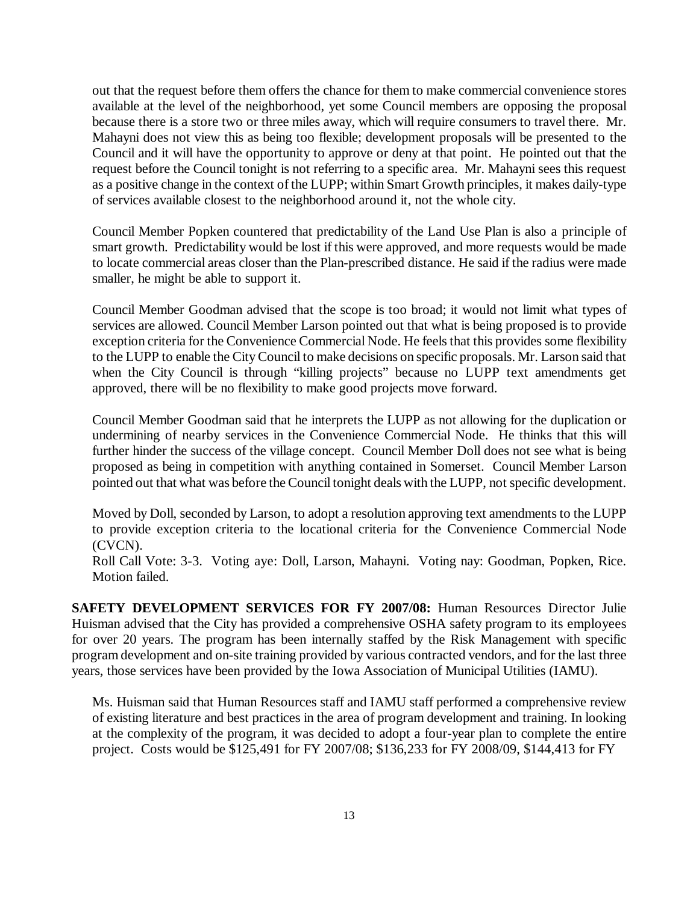out that the request before them offers the chance for them to make commercial convenience stores available at the level of the neighborhood, yet some Council members are opposing the proposal because there is a store two or three miles away, which will require consumers to travel there. Mr. Mahayni does not view this as being too flexible; development proposals will be presented to the Council and it will have the opportunity to approve or deny at that point. He pointed out that the request before the Council tonight is not referring to a specific area. Mr. Mahayni sees this request as a positive change in the context of the LUPP; within Smart Growth principles, it makes daily-type of services available closest to the neighborhood around it, not the whole city.

Council Member Popken countered that predictability of the Land Use Plan is also a principle of smart growth. Predictability would be lost if this were approved, and more requests would be made to locate commercial areas closer than the Plan-prescribed distance. He said if the radius were made smaller, he might be able to support it.

Council Member Goodman advised that the scope is too broad; it would not limit what types of services are allowed. Council Member Larson pointed out that what is being proposed is to provide exception criteria for the Convenience Commercial Node. He feels that this provides some flexibility to the LUPP to enable the City Council to make decisions on specific proposals. Mr. Larson said that when the City Council is through "killing projects" because no LUPP text amendments get approved, there will be no flexibility to make good projects move forward.

Council Member Goodman said that he interprets the LUPP as not allowing for the duplication or undermining of nearby services in the Convenience Commercial Node. He thinks that this will further hinder the success of the village concept. Council Member Doll does not see what is being proposed as being in competition with anything contained in Somerset. Council Member Larson pointed out that what was before the Council tonight deals with the LUPP, not specific development.

Moved by Doll, seconded by Larson, to adopt a resolution approving text amendments to the LUPP to provide exception criteria to the locational criteria for the Convenience Commercial Node (CVCN).

Roll Call Vote: 3-3. Voting aye: Doll, Larson, Mahayni. Voting nay: Goodman, Popken, Rice. Motion failed.

**SAFETY DEVELOPMENT SERVICES FOR FY 2007/08:** Human Resources Director Julie Huisman advised that the City has provided a comprehensive OSHA safety program to its employees for over 20 years. The program has been internally staffed by the Risk Management with specific program development and on-site training provided by various contracted vendors, and for the last three years, those services have been provided by the Iowa Association of Municipal Utilities (IAMU).

Ms. Huisman said that Human Resources staff and IAMU staff performed a comprehensive review of existing literature and best practices in the area of program development and training. In looking at the complexity of the program, it was decided to adopt a four-year plan to complete the entire project. Costs would be \$125,491 for FY 2007/08; \$136,233 for FY 2008/09, \$144,413 for FY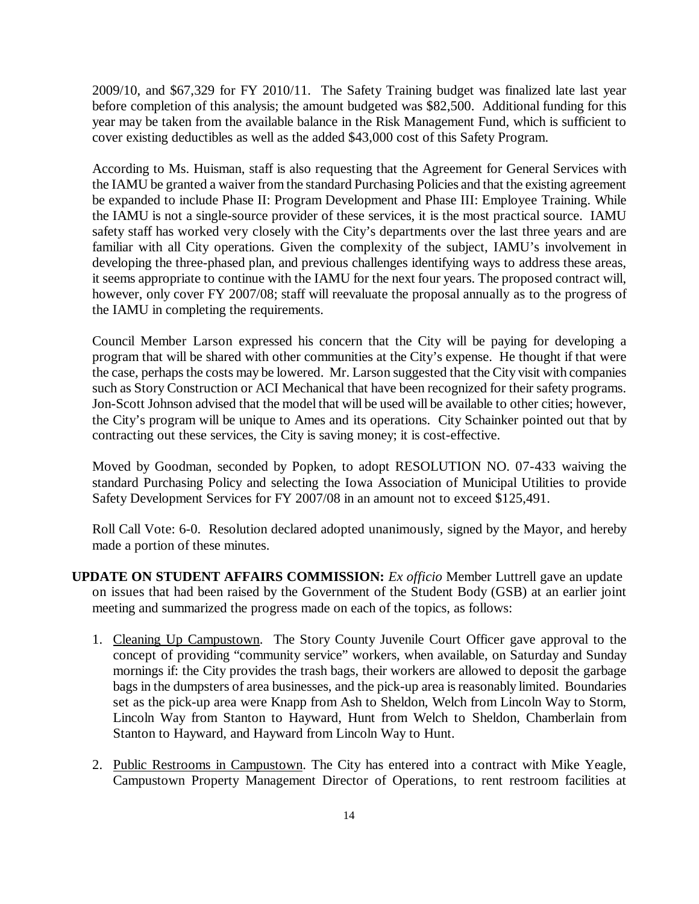2009/10, and \$67,329 for FY 2010/11. The Safety Training budget was finalized late last year before completion of this analysis; the amount budgeted was \$82,500. Additional funding for this year may be taken from the available balance in the Risk Management Fund, which is sufficient to cover existing deductibles as well as the added \$43,000 cost of this Safety Program.

According to Ms. Huisman, staff is also requesting that the Agreement for General Services with the IAMU be granted a waiver from the standard Purchasing Policies and that the existing agreement be expanded to include Phase II: Program Development and Phase III: Employee Training. While the IAMU is not a single-source provider of these services, it is the most practical source. IAMU safety staff has worked very closely with the City's departments over the last three years and are familiar with all City operations. Given the complexity of the subject, IAMU's involvement in developing the three-phased plan, and previous challenges identifying ways to address these areas, it seems appropriate to continue with the IAMU for the next four years. The proposed contract will, however, only cover FY 2007/08; staff will reevaluate the proposal annually as to the progress of the IAMU in completing the requirements.

Council Member Larson expressed his concern that the City will be paying for developing a program that will be shared with other communities at the City's expense. He thought if that were the case, perhaps the costs may be lowered. Mr. Larson suggested that the City visit with companies such as Story Construction or ACI Mechanical that have been recognized for their safety programs. Jon-Scott Johnson advised that the model that will be used will be available to other cities; however, the City's program will be unique to Ames and its operations. City Schainker pointed out that by contracting out these services, the City is saving money; it is cost-effective.

Moved by Goodman, seconded by Popken, to adopt RESOLUTION NO. 07-433 waiving the standard Purchasing Policy and selecting the Iowa Association of Municipal Utilities to provide Safety Development Services for FY 2007/08 in an amount not to exceed \$125,491.

Roll Call Vote: 6-0. Resolution declared adopted unanimously, signed by the Mayor, and hereby made a portion of these minutes.

- **UPDATE ON STUDENT AFFAIRS COMMISSION:** *Ex officio* Member Luttrell gave an update on issues that had been raised by the Government of the Student Body (GSB) at an earlier joint meeting and summarized the progress made on each of the topics, as follows:
	- 1. Cleaning Up Campustown. The Story County Juvenile Court Officer gave approval to the concept of providing "community service" workers, when available, on Saturday and Sunday mornings if: the City provides the trash bags, their workers are allowed to deposit the garbage bags in the dumpsters of area businesses, and the pick-up area is reasonably limited. Boundaries set as the pick-up area were Knapp from Ash to Sheldon, Welch from Lincoln Way to Storm, Lincoln Way from Stanton to Hayward, Hunt from Welch to Sheldon, Chamberlain from Stanton to Hayward, and Hayward from Lincoln Way to Hunt.
	- 2. Public Restrooms in Campustown. The City has entered into a contract with Mike Yeagle, Campustown Property Management Director of Operations, to rent restroom facilities at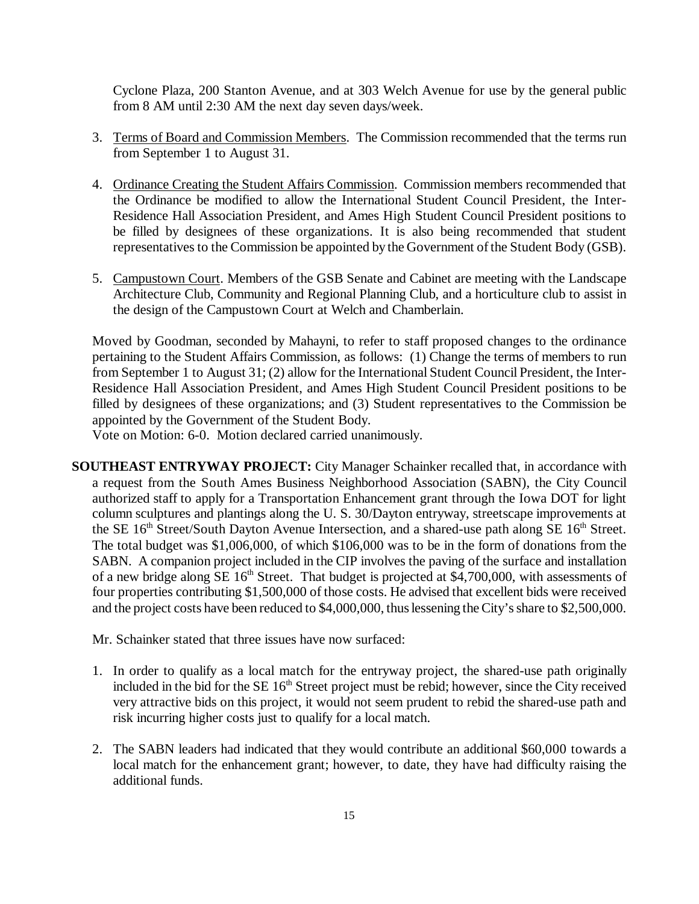Cyclone Plaza, 200 Stanton Avenue, and at 303 Welch Avenue for use by the general public from 8 AM until 2:30 AM the next day seven days/week.

- 3. Terms of Board and Commission Members. The Commission recommended that the terms run from September 1 to August 31.
- 4. Ordinance Creating the Student Affairs Commission. Commission members recommended that the Ordinance be modified to allow the International Student Council President, the Inter-Residence Hall Association President, and Ames High Student Council President positions to be filled by designees of these organizations. It is also being recommended that student representatives to the Commission be appointed by the Government of the Student Body (GSB).
- 5. Campustown Court. Members of the GSB Senate and Cabinet are meeting with the Landscape Architecture Club, Community and Regional Planning Club, and a horticulture club to assist in the design of the Campustown Court at Welch and Chamberlain.

Moved by Goodman, seconded by Mahayni, to refer to staff proposed changes to the ordinance pertaining to the Student Affairs Commission, as follows: (1) Change the terms of members to run from September 1 to August 31; (2) allow for the International Student Council President, the Inter-Residence Hall Association President, and Ames High Student Council President positions to be filled by designees of these organizations; and (3) Student representatives to the Commission be appointed by the Government of the Student Body.

Vote on Motion: 6-0. Motion declared carried unanimously.

**SOUTHEAST ENTRYWAY PROJECT:** City Manager Schainker recalled that, in accordance with a request from the South Ames Business Neighborhood Association (SABN), the City Council authorized staff to apply for a Transportation Enhancement grant through the Iowa DOT for light column sculptures and plantings along the U. S. 30/Dayton entryway, streetscape improvements at the SE  $16<sup>th</sup> Street/South$  Dayton Avenue Intersection, and a shared-use path along SE  $16<sup>th</sup>$  Street. The total budget was \$1,006,000, of which \$106,000 was to be in the form of donations from the SABN. A companion project included in the CIP involves the paving of the surface and installation of a new bridge along SE  $16<sup>th</sup>$  Street. That budget is projected at \$4,700,000, with assessments of four properties contributing \$1,500,000 of those costs. He advised that excellent bids were received and the project costs have been reduced to \$4,000,000, thus lessening the City's share to \$2,500,000.

Mr. Schainker stated that three issues have now surfaced:

- 1. In order to qualify as a local match for the entryway project, the shared-use path originally included in the bid for the SE 16<sup>th</sup> Street project must be rebid; however, since the City received very attractive bids on this project, it would not seem prudent to rebid the shared-use path and risk incurring higher costs just to qualify for a local match.
- 2. The SABN leaders had indicated that they would contribute an additional \$60,000 towards a local match for the enhancement grant; however, to date, they have had difficulty raising the additional funds.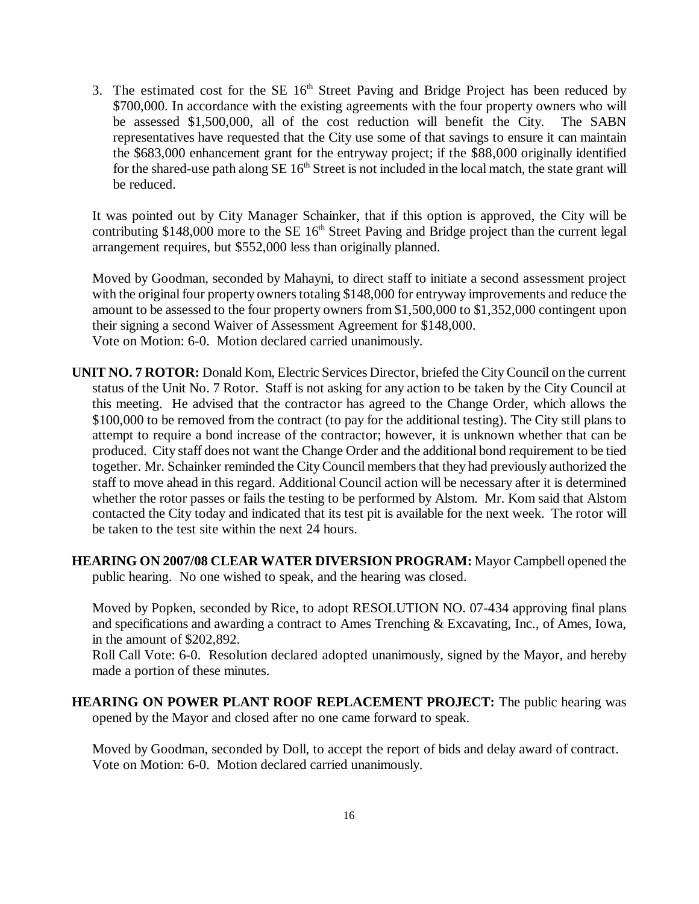3. The estimated cost for the SE  $16<sup>th</sup>$  Street Paving and Bridge Project has been reduced by \$700,000. In accordance with the existing agreements with the four property owners who will be assessed \$1,500,000, all of the cost reduction will benefit the City. The SABN representatives have requested that the City use some of that savings to ensure it can maintain the \$683,000 enhancement grant for the entryway project; if the \$88,000 originally identified for the shared-use path along SE 16<sup>th</sup> Street is not included in the local match, the state grant will be reduced.

It was pointed out by City Manager Schainker, that if this option is approved, the City will be contributing \$148,000 more to the SE  $16<sup>th</sup>$  Street Paving and Bridge project than the current legal arrangement requires, but \$552,000 less than originally planned.

Moved by Goodman, seconded by Mahayni, to direct staff to initiate a second assessment project with the original four property owners totaling \$148,000 for entryway improvements and reduce the amount to be assessed to the four property owners from \$1,500,000 to \$1,352,000 contingent upon their signing a second Waiver of Assessment Agreement for \$148,000. Vote on Motion: 6-0. Motion declared carried unanimously.

- **UNIT NO. 7 ROTOR:** Donald Kom, Electric Services Director, briefed the City Council on the current status of the Unit No. 7 Rotor. Staff is not asking for any action to be taken by the City Council at this meeting. He advised that the contractor has agreed to the Change Order, which allows the \$100,000 to be removed from the contract (to pay for the additional testing). The City still plans to attempt to require a bond increase of the contractor; however, it is unknown whether that can be produced. City staff does not want the Change Order and the additional bond requirement to be tied together. Mr. Schainker reminded the City Council members that they had previously authorized the staff to move ahead in this regard. Additional Council action will be necessary after it is determined whether the rotor passes or fails the testing to be performed by Alstom. Mr. Kom said that Alstom contacted the City today and indicated that its test pit is available for the next week. The rotor will be taken to the test site within the next 24 hours.
- **HEARING ON 2007/08 CLEAR WATER DIVERSION PROGRAM:** Mayor Campbell opened the public hearing. No one wished to speak, and the hearing was closed.

Moved by Popken, seconded by Rice, to adopt RESOLUTION NO. 07-434 approving final plans and specifications and awarding a contract to Ames Trenching & Excavating, Inc., of Ames, Iowa, in the amount of \$202,892.

Roll Call Vote: 6-0. Resolution declared adopted unanimously, signed by the Mayor, and hereby made a portion of these minutes.

**HEARING ON POWER PLANT ROOF REPLACEMENT PROJECT:** The public hearing was opened by the Mayor and closed after no one came forward to speak.

Moved by Goodman, seconded by Doll, to accept the report of bids and delay award of contract. Vote on Motion: 6-0. Motion declared carried unanimously.